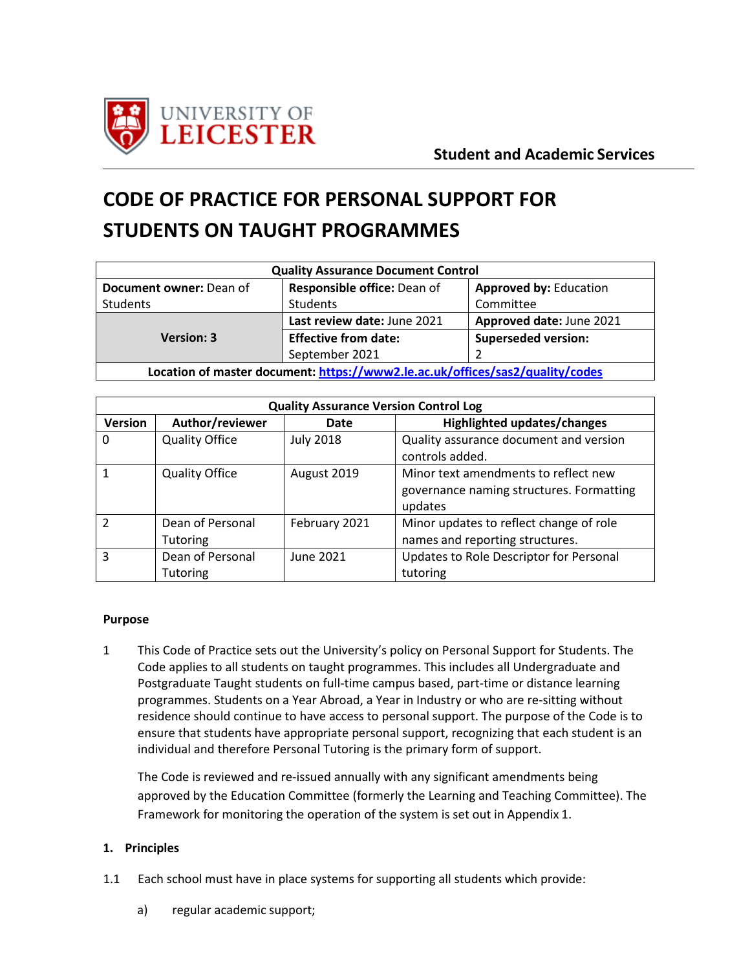

# **CODE OF PRACTICE FOR PERSONAL SUPPORT FOR STUDENTS ON TAUGHT PROGRAMMES**

| <b>Quality Assurance Document Control</b>                                     |                             |                               |  |
|-------------------------------------------------------------------------------|-----------------------------|-------------------------------|--|
| Document owner: Dean of                                                       | Responsible office: Dean of | <b>Approved by: Education</b> |  |
| <b>Students</b>                                                               | Students                    | Committee                     |  |
|                                                                               | Last review date: June 2021 | Approved date: June 2021      |  |
| <b>Version: 3</b>                                                             | <b>Effective from date:</b> | <b>Superseded version:</b>    |  |
|                                                                               | September 2021              |                               |  |
| Location of master document: https://www2.le.ac.uk/offices/sas2/quality/codes |                             |                               |  |

| <b>Quality Assurance Version Control Log</b> |                                     |                  |                                                                                             |
|----------------------------------------------|-------------------------------------|------------------|---------------------------------------------------------------------------------------------|
| <b>Version</b>                               | Author/reviewer                     | Date             | Highlighted updates/changes                                                                 |
| 0                                            | <b>Quality Office</b>               | <b>July 2018</b> | Quality assurance document and version<br>controls added.                                   |
|                                              | <b>Quality Office</b>               | August 2019      | Minor text amendments to reflect new<br>governance naming structures. Formatting<br>updates |
| $\mathcal{P}$                                | Dean of Personal<br><b>Tutoring</b> | February 2021    | Minor updates to reflect change of role<br>names and reporting structures.                  |
| 3                                            | Dean of Personal<br><b>Tutoring</b> | June 2021        | Updates to Role Descriptor for Personal<br>tutoring                                         |

#### **Purpose**

1 This Code of Practice sets out the University's policy on Personal Support for Students. The Code applies to all students on taught programmes. This includes all Undergraduate and Postgraduate Taught students on full-time campus based, part-time or distance learning programmes. Students on a Year Abroad, a Year in Industry or who are re-sitting without residence should continue to have access to personal support. The purpose of the Code is to ensure that students have appropriate personal support, recognizing that each student is an individual and therefore Personal Tutoring is the primary form of support.

The Code is reviewed and re-issued annually with any significant amendments being approved by the Education Committee (formerly the Learning and Teaching Committee). The Framework for monitoring the operation of the system is set out in Appendix 1.

#### **1. Principles**

- 1.1 Each school must have in place systems for supporting all students which provide:
	- a) regular academic support;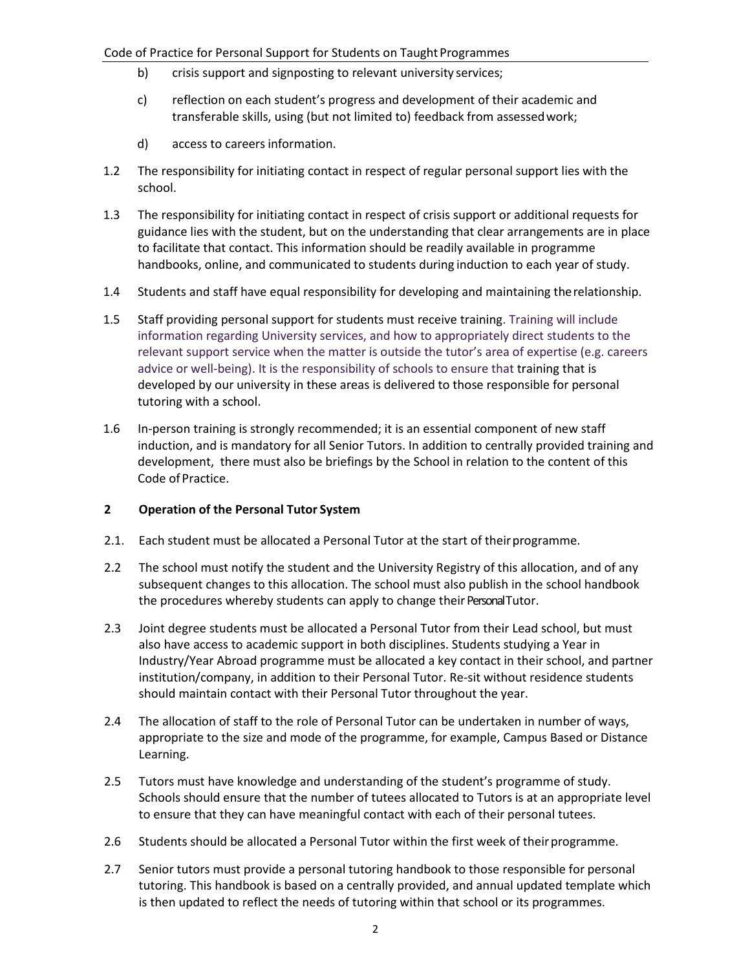- b) crisis support and signposting to relevant university services;
- c) reflection on each student's progress and development of their academic and transferable skills, using (but not limited to) feedback from assessedwork;
- d) access to careersinformation.
- 1.2 The responsibility for initiating contact in respect of regular personal support lies with the school.
- 1.3 The responsibility for initiating contact in respect of crisis support or additional requests for guidance lies with the student, but on the understanding that clear arrangements are in place to facilitate that contact. This information should be readily available in programme handbooks, online, and communicated to students during induction to each year of study.
- 1.4 Students and staff have equal responsibility for developing and maintaining therelationship.
- 1.5 Staff providing personal support for students must receive training. Training will include information regarding University services, and how to appropriately direct students to the relevant support service when the matter is outside the tutor's area of expertise (e.g. careers advice or well-being). It is the responsibility of schools to ensure that training that is developed by our university in these areas is delivered to those responsible for personal tutoring with a school.
- 1.6 In-person training is strongly recommended; it is an essential component of new staff induction, and is mandatory for all Senior Tutors. In addition to centrally provided training and development, there must also be briefings by the School in relation to the content of this Code of Practice.

## **2 Operation of the Personal Tutor System**

- 2.1. Each student must be allocated a Personal Tutor at the start of theirprogramme.
- 2.2 The school must notify the student and the University Registry of this allocation, and of any subsequent changes to this allocation. The school must also publish in the school handbook the procedures whereby students can apply to change their Personal Tutor.
- 2.3 Joint degree students must be allocated a Personal Tutor from their Lead school, but must also have access to academic support in both disciplines. Students studying a Year in Industry/Year Abroad programme must be allocated a key contact in their school, and partner institution/company, in addition to their Personal Tutor. Re-sit without residence students should maintain contact with their Personal Tutor throughout the year.
- 2.4 The allocation of staff to the role of Personal Tutor can be undertaken in number of ways, appropriate to the size and mode of the programme, for example, Campus Based or Distance Learning.
- 2.5 Tutors must have knowledge and understanding of the student's programme of study. Schools should ensure that the number of tutees allocated to Tutors is at an appropriate level to ensure that they can have meaningful contact with each of their personal tutees.
- 2.6 Students should be allocated a Personal Tutor within the first week of their programme.
- 2.7 Senior tutors must provide a personal tutoring handbook to those responsible for personal tutoring. This handbook is based on a centrally provided, and annual updated template which is then updated to reflect the needs of tutoring within that school or its programmes.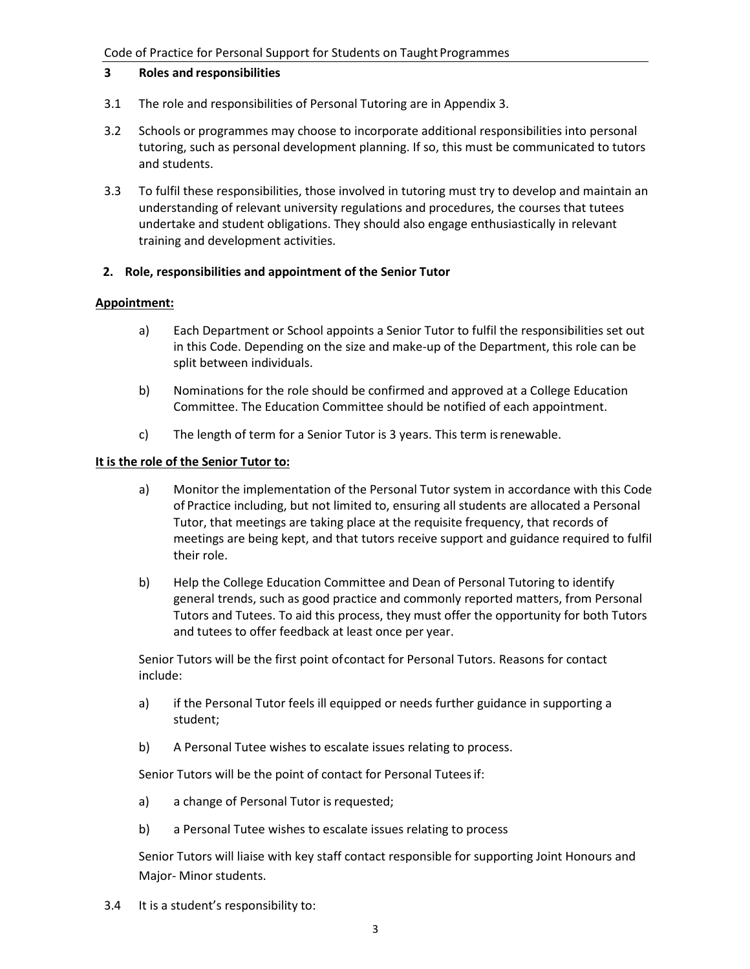#### **3 Roles and responsibilities**

- 3.1 The role and responsibilities of Personal Tutoring are in Appendix 3.
- 3.2 Schools or programmes may choose to incorporate additional responsibilities into personal tutoring, such as personal development planning. If so, this must be communicated to tutors and students.
- 3.3 To fulfil these responsibilities, those involved in tutoring must try to develop and maintain an understanding of relevant university regulations and procedures, the courses that tutees undertake and student obligations. They should also engage enthusiastically in relevant training and development activities.

#### **2. Role, responsibilities and appointment of the Senior Tutor**

#### **Appointment:**

- a) Each Department or School appoints a Senior Tutor to fulfil the responsibilities set out in this Code. Depending on the size and make-up of the Department, this role can be split between individuals.
- b) Nominations for the role should be confirmed and approved at a College Education Committee. The Education Committee should be notified of each appointment.
- c) The length of term for a Senior Tutor is 3 years. This term isrenewable.

#### **It is the role of the Senior Tutor to:**

- a) Monitor the implementation of the Personal Tutor system in accordance with this Code of Practice including, but not limited to, ensuring all students are allocated a Personal Tutor, that meetings are taking place at the requisite frequency, that records of meetings are being kept, and that tutors receive support and guidance required to fulfil their role.
- b) Help the College Education Committee and Dean of Personal Tutoring to identify general trends, such as good practice and commonly reported matters, from Personal Tutors and Tutees. To aid this process, they must offer the opportunity for both Tutors and tutees to offer feedback at least once per year.

Senior Tutors will be the first point ofcontact for Personal Tutors. Reasons for contact include:

- a) if the Personal Tutor feels ill equipped or needs further guidance in supporting a student;
- b) A Personal Tutee wishes to escalate issues relating to process.

Senior Tutors will be the point of contact for Personal Tuteesif:

- a) a change of Personal Tutor is requested;
- b) a Personal Tutee wishes to escalate issues relating to process

Senior Tutors will liaise with key staff contact responsible for supporting Joint Honours and Major- Minor students.

3.4 It is a student's responsibility to: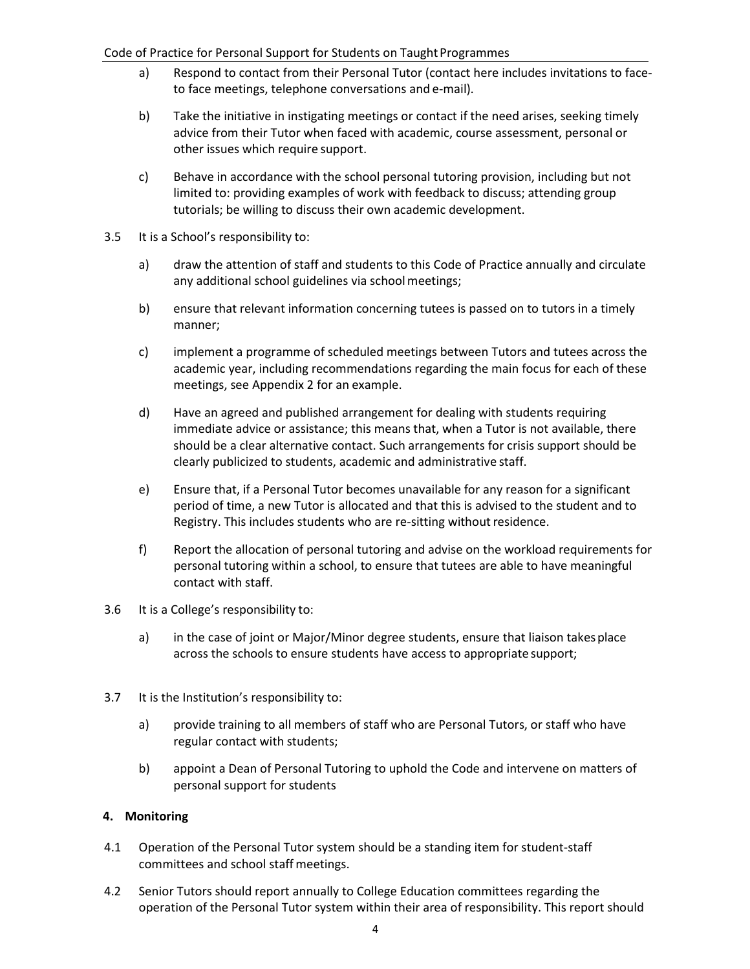#### Code of Practice for Personal Support for Students on Taught Programmes

- a) Respond to contact from their Personal Tutor (contact here includes invitations to faceto face meetings, telephone conversations and e-mail).
- b) Take the initiative in instigating meetings or contact if the need arises, seeking timely advice from their Tutor when faced with academic, course assessment, personal or other issues which require support.
- c) Behave in accordance with the school personal tutoring provision, including but not limited to: providing examples of work with feedback to discuss; attending group tutorials; be willing to discuss their own academic development.
- 3.5 It is a School's responsibility to:
	- a) draw the attention of staff and students to this Code of Practice annually and circulate any additional school guidelines via school meetings;
	- b) ensure that relevant information concerning tutees is passed on to tutors in a timely manner;
	- c) implement a programme of scheduled meetings between Tutors and tutees across the academic year, including recommendations regarding the main focus for each of these meetings, see Appendix 2 for an example.
	- d) Have an agreed and published arrangement for dealing with students requiring immediate advice or assistance; this means that, when a Tutor is not available, there should be a clear alternative contact. Such arrangements for crisis support should be clearly publicized to students, academic and administrative staff.
	- e) Ensure that, if a Personal Tutor becomes unavailable for any reason for a significant period of time, a new Tutor is allocated and that this is advised to the student and to Registry. This includes students who are re-sitting without residence.
	- f) Report the allocation of personal tutoring and advise on the workload requirements for personal tutoring within a school, to ensure that tutees are able to have meaningful contact with staff.
- 3.6 It is a College's responsibility to:
	- a) in the case of joint or Major/Minor degree students, ensure that liaison takesplace across the schools to ensure students have access to appropriate support;
- 3.7 It is the Institution's responsibility to:
	- a) provide training to all members of staff who are Personal Tutors, or staff who have regular contact with students;
	- b) appoint a Dean of Personal Tutoring to uphold the Code and intervene on matters of personal support for students

#### **4. Monitoring**

- 4.1 Operation of the Personal Tutor system should be a standing item for student-staff committees and school staff meetings.
- 4.2 Senior Tutors should report annually to College Education committees regarding the operation of the Personal Tutor system within their area of responsibility. This report should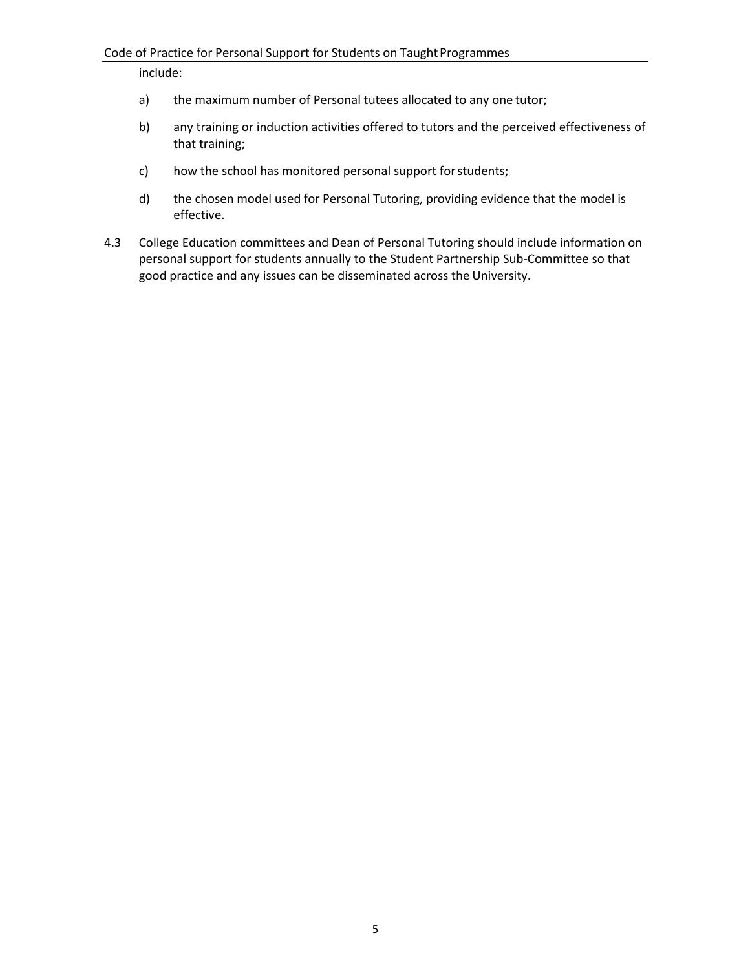include:

- a) the maximum number of Personal tutees allocated to any one tutor;
- b) any training or induction activities offered to tutors and the perceived effectiveness of that training;
- c) how the school has monitored personal support forstudents;
- d) the chosen model used for Personal Tutoring, providing evidence that the model is effective.
- 4.3 College Education committees and Dean of Personal Tutoring should include information on personal support for students annually to the Student Partnership Sub-Committee so that good practice and any issues can be disseminated across the University.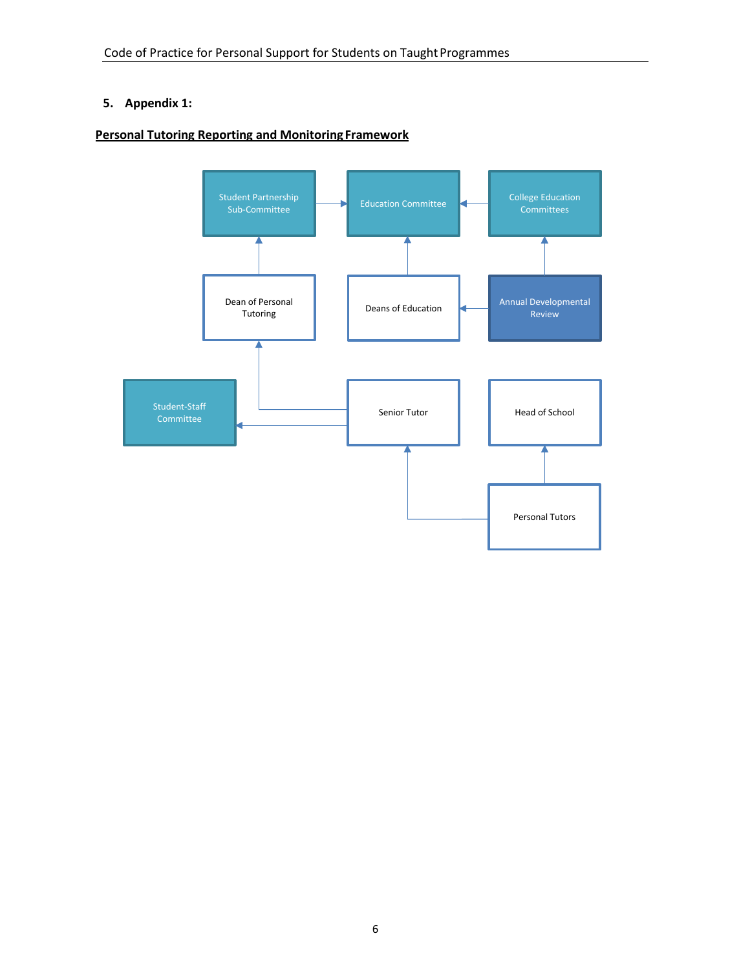## **5. Appendix 1:**

### **Personal Tutoring Reporting and Monitoring Framework**

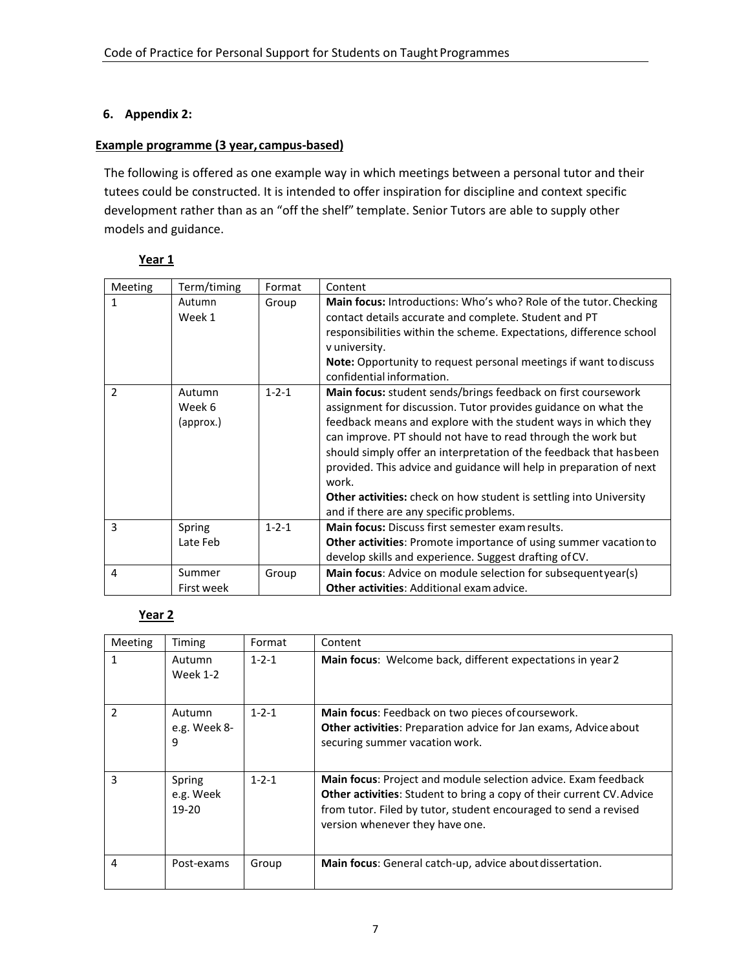### **6. Appendix 2:**

## **Example programme (3 year, campus-based)**

The following is offered as one example way in which meetings between a personal tutor and their tutees could be constructed. It is intended to offer inspiration for discipline and context specific development rather than as an "off the shelf" template. Senior Tutors are able to supply other models and guidance.

### **Year 1**

| Meeting       | Term/timing                   | Format      | Content                                                                                                                                                                                                                                                                                                                                                                                                                                                                                                                                          |
|---------------|-------------------------------|-------------|--------------------------------------------------------------------------------------------------------------------------------------------------------------------------------------------------------------------------------------------------------------------------------------------------------------------------------------------------------------------------------------------------------------------------------------------------------------------------------------------------------------------------------------------------|
| 1             | Autumn<br>Week 1              | Group       | Main focus: Introductions: Who's who? Role of the tutor. Checking<br>contact details accurate and complete. Student and PT<br>responsibilities within the scheme. Expectations, difference school<br>v university.<br>Note: Opportunity to request personal meetings if want to discuss<br>confidential information.                                                                                                                                                                                                                             |
| $\mathcal{P}$ | Autumn<br>Week 6<br>(approx.) | $1 - 2 - 1$ | Main focus: student sends/brings feedback on first coursework<br>assignment for discussion. Tutor provides guidance on what the<br>feedback means and explore with the student ways in which they<br>can improve. PT should not have to read through the work but<br>should simply offer an interpretation of the feedback that has been<br>provided. This advice and guidance will help in preparation of next<br>work.<br><b>Other activities:</b> check on how student is settling into University<br>and if there are any specific problems. |
| 3             | Spring<br>Late Feb            | $1 - 2 - 1$ | <b>Main focus:</b> Discuss first semester exam results.<br>Other activities: Promote importance of using summer vacation to<br>develop skills and experience. Suggest drafting of CV.                                                                                                                                                                                                                                                                                                                                                            |
| 4             | Summer<br>First week          | Group       | Main focus: Advice on module selection for subsequentyear(s)<br><b>Other activities: Additional exam advice.</b>                                                                                                                                                                                                                                                                                                                                                                                                                                 |

#### **Year 2**

| Meeting       | Timing                           | Format      | Content                                                                                                                                                                                                                                        |
|---------------|----------------------------------|-------------|------------------------------------------------------------------------------------------------------------------------------------------------------------------------------------------------------------------------------------------------|
| 1             | Autumn<br><b>Week 1-2</b>        | $1 - 2 - 1$ | Main focus: Welcome back, different expectations in year 2                                                                                                                                                                                     |
| $\mathcal{P}$ | Autumn<br>e.g. Week 8-<br>9      | $1 - 2 - 1$ | Main focus: Feedback on two pieces of coursework.<br><b>Other activities:</b> Preparation advice for Jan exams, Advice about<br>securing summer vacation work.                                                                                 |
| 3             | Spring<br>e.g. Week<br>$19 - 20$ | $1 - 2 - 1$ | Main focus: Project and module selection advice. Exam feedback<br>Other activities: Student to bring a copy of their current CV. Advice<br>from tutor. Filed by tutor, student encouraged to send a revised<br>version whenever they have one. |
| 4             | Post-exams                       | Group       | <b>Main focus:</b> General catch-up, advice about dissertation.                                                                                                                                                                                |